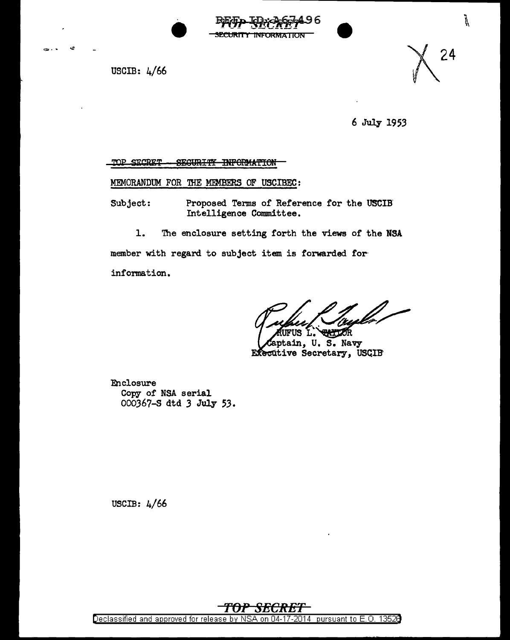

USCIB:  $4/66$ 

 $\mathcal{L}$ 



 $\sum_{k=1}^{n}$ 

6 July 1953

TOP SECRET SEGURITY INFORMATION

MEMORANDUM FOR THE MEMBERS OF USCIBEC:

Proposed Terms of Reference for the USCIB Subject: Intelligence Committee.

1. The enclosure setting forth the views of the NSA

member with regard to subject item is forwarded for-

information.

UFUS L. **EATIOR** 

aptain, U. S. Navy Executive Secretary, USCIB

Enclosure Copy of NSA serial 000367-S dtd 3 July 53.

USCIB:  $4/66$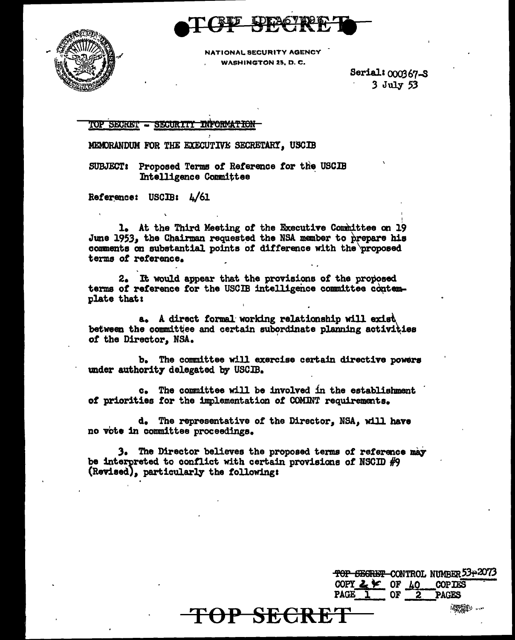



NATIONAL SECURITY AGENCY WASHINGTON 25, D.C.

> Serial: 000367-S  $3$  July 53

TOP SECRET - SECURITY INFORMATION

MEMORANDUM FOR THE EXECUTIVE SECRETARY, USCIB

SUBJECT: Proposed Terms of Reference for the USCIB Intelligence Committee

Reference: USCIB: L/61

1. At the Third Meeting of the Executive Committee on 19 June 1953. the Chairman requested the NSA member to prepare his comments on substantial points of difference with the proposed terms of reference.

2. It would appear that the provisions of the proposed terms of reference for the USCIB intelligence committee contemplate that:

a. A direct formal working relationship will exist between the committee and certain subordinate planning activities of the Director, NSA.

The committee will exercise certain directive powers ъ. under authority delegated by USCIB.

c. The committee will be involved in the establishment of priorities for the implementation of COMINT requirements.

d. The representative of the Director, NSA, will have no vote in committee proceedings.

3. The Director believes the proposed terms of reference may be interpreted to conflict with certain provisions of NSCID  $#9$ (Revised), particularly the following:

<del>TOP SECRET</del>

<del>TOP SEGRET</del> CONTROL NUMBER 53+2073 COPY  $2 \times 0$  OF  $10$ **COPIES** PAGE 1 OF **PAGES**